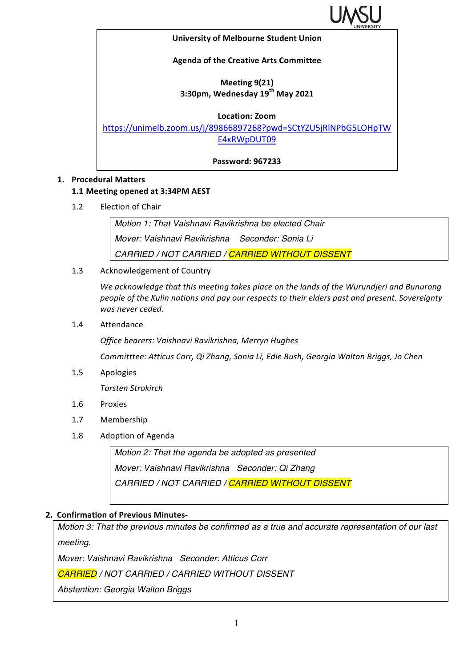

#### **University of Melbourne Student Union**

### **Agenda of the Creative Arts Committee**

## **Meeting 9(21) 3:30pm, Wednesday 19th May 2021**

#### **Location: Zoom**

https://unimelb.zoom.us/j/89866897268?pwd=SCtYZU5jRlNPbG5LOHpTW E4xRWpDUT09

**Password: 967233**

### **1. Procedural Matters**

### **1.1 Meeting opened at 3:34PM AEST**

1.2 Election of Chair

*Motion 1: That Vaishnavi Ravikrishna be elected Chair Mover: Vaishnavi Ravikrishna Seconder: Sonia Li CARRIED / NOT CARRIED / CARRIED WITHOUT DISSENT*

1.3 Acknowledgement of Country

We acknowledge that this meeting takes place on the lands of the Wurundjeri and Bunurong people of the Kulin nations and pay our respects to their elders past and present. Sovereignty was never ceded.

1.4 Attendance

*Office bearers: Vaishnavi Ravikrishna, Merryn Hughes*

*Committtee: Atticus Corr, Qi Zhang, Sonia Li, Edie Bush, Georgia Walton Briggs, Jo Chen* 

1.5 Apologies

*Torsten Strokirch*

- 1.6 Proxies
- 1.7 Membership
- 1.8 Adoption of Agenda

*Motion 2: That the agenda be adopted as presented Mover: Vaishnavi Ravikrishna Seconder: Qi Zhang CARRIED / NOT CARRIED / CARRIED WITHOUT DISSENT*

### **2. Confirmation of Previous Minutes-**

*Motion 3: That the previous minutes be confirmed as a true and accurate representation of our last meeting.*

*Mover: Vaishnavi Ravikrishna Seconder: Atticus Corr*

*CARRIED / NOT CARRIED / CARRIED WITHOUT DISSENT*

*Abstention: Georgia Walton Briggs*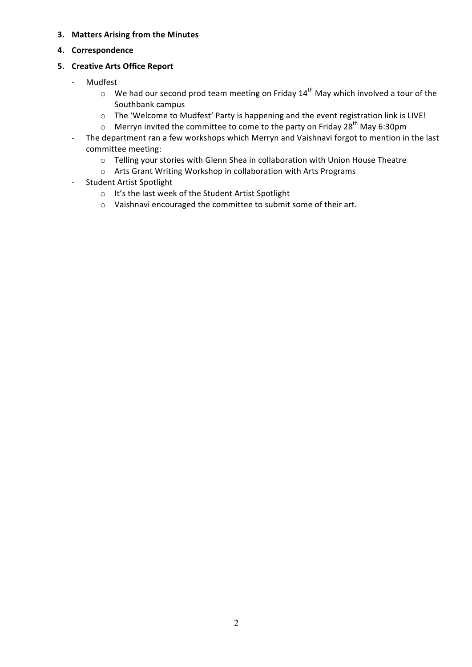- **3.** Matters Arising from the Minutes
- **4. Correspondence**

## **5. Creative Arts Office Report**

- Mudfest
	- $\circ$  We had our second prod team meeting on Friday 14<sup>th</sup> May which involved a tour of the Southbank campus
	- o The 'Welcome to Mudfest' Party is happening and the event registration link is LIVE!
	- $\circ$  Merryn invited the committee to come to the party on Friday 28<sup>th</sup> May 6:30pm
- The department ran a few workshops which Merryn and Vaishnavi forgot to mention in the last committee meeting:
	- o Telling your stories with Glenn Shea in collaboration with Union House Theatre
	- $\circ$  Arts Grant Writing Workshop in collaboration with Arts Programs
- Student Artist Spotlight
	- o It's the last week of the Student Artist Spotlight
	- $\circ$  Vaishnavi encouraged the committee to submit some of their art.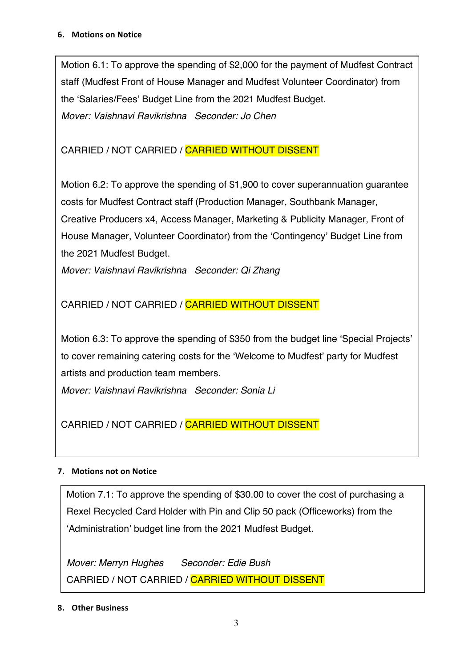Motion 6.1: To approve the spending of \$2,000 for the payment of Mudfest Contract staff (Mudfest Front of House Manager and Mudfest Volunteer Coordinator) from the 'Salaries/Fees' Budget Line from the 2021 Mudfest Budget. *Mover: Vaishnavi Ravikrishna Seconder: Jo Chen*

# CARRIED / NOT CARRIED / CARRIED WITHOUT DISSENT

Motion 6.2: To approve the spending of \$1,900 to cover superannuation guarantee costs for Mudfest Contract staff (Production Manager, Southbank Manager, Creative Producers x4, Access Manager, Marketing & Publicity Manager, Front of House Manager, Volunteer Coordinator) from the 'Contingency' Budget Line from the 2021 Mudfest Budget.

*Mover: Vaishnavi Ravikrishna Seconder: Qi Zhang*

# CARRIED / NOT CARRIED / CARRIED WITHOUT DISSENT

Motion 6.3: To approve the spending of \$350 from the budget line 'Special Projects' to cover remaining catering costs for the 'Welcome to Mudfest' party for Mudfest artists and production team members.

*Mover: Vaishnavi Ravikrishna Seconder: Sonia Li*

CARRIED / NOT CARRIED / CARRIED WITHOUT DISSENT

## **7.** Motions not on Notice

Motion 7.1: To approve the spending of \$30.00 to cover the cost of purchasing a Rexel Recycled Card Holder with Pin and Clip 50 pack (Officeworks) from the 'Administration' budget line from the 2021 Mudfest Budget.

*Mover: Merryn Hughes Seconder: Edie Bush* CARRIED / NOT CARRIED / CARRIED WITHOUT DISSENT

## **8. Other Business**